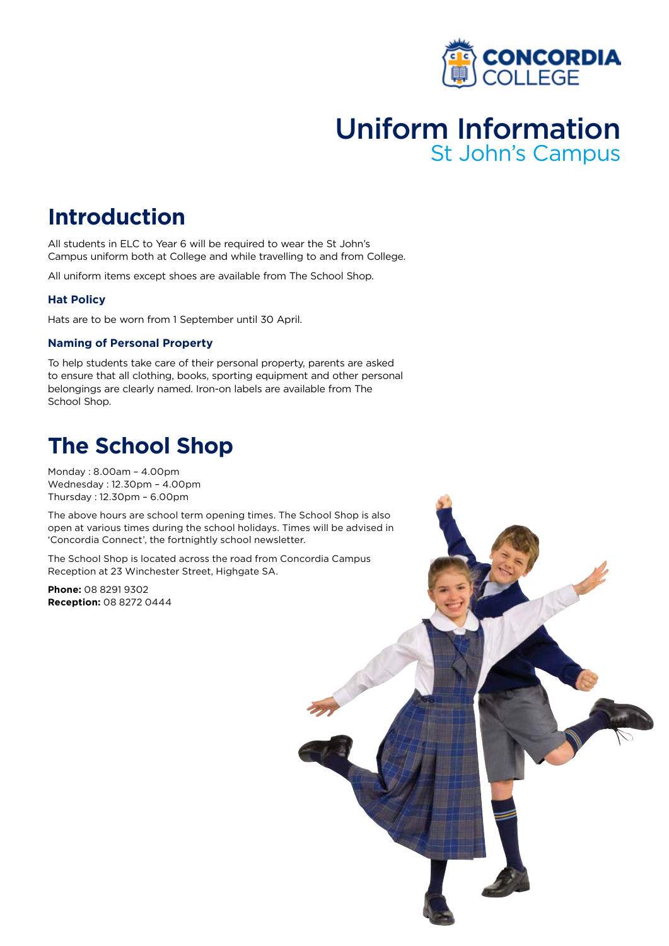

# Uniform Information St John's Campus

# **Introduction**

All students in ELC to Year 6 will be required to wear the St John's Campus uniform both at College and while travelling to and from College.

All uniform items except shoes are available from The School Shop.

### **Hat Policy**

Hats are to be worn from 1 September until 30 April.

### **Naming of Personal Property**

To help students take care of their personal property, parents are asked to ensure that all clothing, books, sporting equipment and other personal belongings are clearly named. Iron-on labels are available from The School Shop.

### **The School Shop**

Monday : 8.00am – 4.00pm Wednesday : 12.30pm – 4.00pm Thursday : 12.30pm – 6.00pm

The above hours are school term opening times. The School Shop is also open at various times during the school holidays. Times will be advised in 'Concordia Connect', the fortnightly school newsletter.

The School Shop is located across the road from Concordia Campus Reception at 23 Winchester Street, Highgate SA.

**Phone:** 08 8291 9302 **Reception:** 08 8272 0444

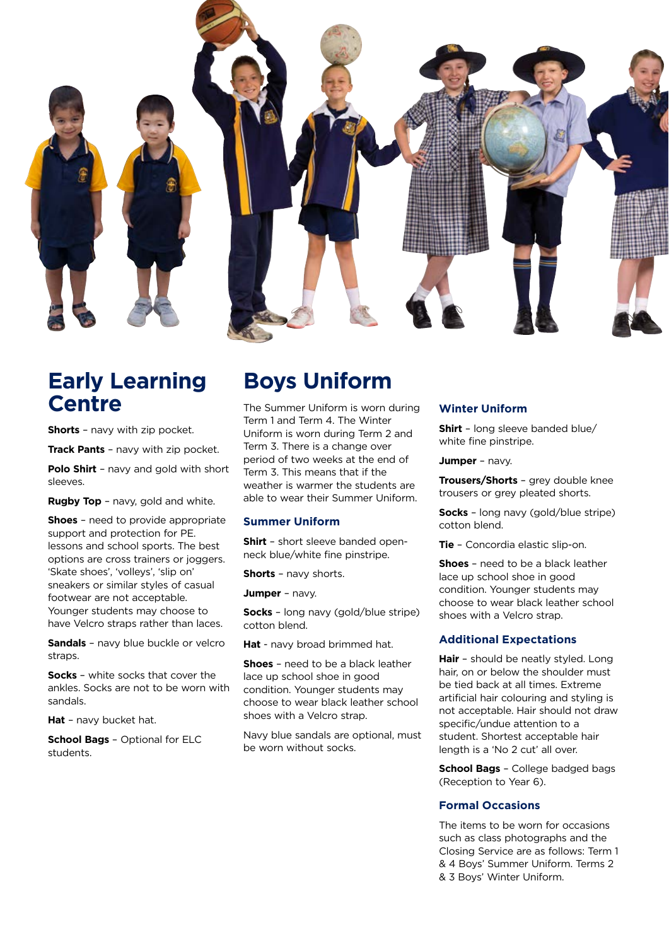

### **Early Learning Centre**

**Shorts** – navy with zip pocket.

**Track Pants** – navy with zip pocket.

**Polo Shirt** – navy and gold with short sleeves.

**Rugby Top** - navy, gold and white.

**Shoes** – need to provide appropriate support and protection for PE. lessons and school sports. The best options are cross trainers or joggers. 'Skate shoes', 'volleys', 'slip on' sneakers or similar styles of casual footwear are not acceptable. Younger students may choose to have Velcro straps rather than laces.

**Sandals** – navy blue buckle or velcro straps.

**Socks** – white socks that cover the ankles. Socks are not to be worn with sandals.

**Hat** – navy bucket hat.

**School Bags** – Optional for ELC students.

### **Boys Uniform**

The Summer Uniform is worn during Term 1 and Term 4. The Winter Uniform is worn during Term 2 and Term 3. There is a change over period of two weeks at the end of Term 3. This means that if the weather is warmer the students are able to wear their Summer Uniform.

### **Summer Uniform**

**Shirt** – short sleeve banded openneck blue/white fine pinstripe.

**Shorts** – navy shorts.

**Jumper** – navy.

**Socks** – long navy (gold/blue stripe) cotton blend.

**Hat** - navy broad brimmed hat.

**Shoes** – need to be a black leather lace up school shoe in good condition. Younger students may choose to wear black leather school shoes with a Velcro strap.

Navy blue sandals are optional, must be worn without socks.

### **Winter Uniform**

**Shirt** – long sleeve banded blue/ white fine pinstripe.

**Jumper** – navy.

**Trousers/Shorts** – grey double knee trousers or grey pleated shorts.

**Socks** – long navy (gold/blue stripe) cotton blend.

**Tie** – Concordia elastic slip-on.

**Shoes** – need to be a black leather lace up school shoe in good condition. Younger students may choose to wear black leather school shoes with a Velcro strap.

#### **Additional Expectations**

**Hair** – should be neatly styled. Long hair, on or below the shoulder must be tied back at all times. Extreme artificial hair colouring and styling is not acceptable. Hair should not draw specific/undue attention to a student. Shortest acceptable hair length is a 'No 2 cut' all over.

**School Bags** – College badged bags (Reception to Year 6).

### **Formal Occasions**

The items to be worn for occasions such as class photographs and the Closing Service are as follows: Term 1 & 4 Boys' Summer Uniform. Terms 2 & 3 Boys' Winter Uniform.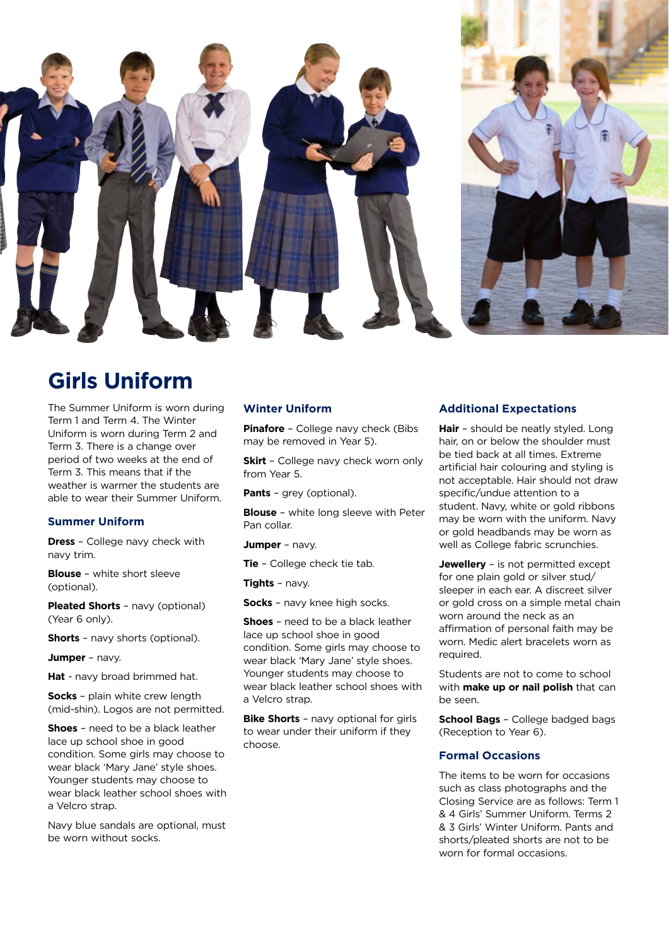

# **Girls Uniform**

The Summer Uniform is worn during Term 1 and Term 4. The Winter Uniform is worn during Term 2 and Term 3. There is a change over period of two weeks at the end of Term 3. This means that if the weather is warmer the students are able to wear their Summer Uniform.

### **Summer Uniform**

**Dress** – College navy check with navy trim.

**Blouse** – white short sleeve (optional).

**Pleated Shorts** – navy (optional) (Year 6 only).

**Shorts** – navy shorts (optional).

**Jumper** – navy.

**Hat** - navy broad brimmed hat.

**Socks** – plain white crew length (mid-shin). Logos are not permitted.

**Shoes** – need to be a black leather lace up school shoe in good condition. Some girls may choose to wear black 'Mary Jane' style shoes. Younger students may choose to wear black leather school shoes with a Velcro strap.

Navy blue sandals are optional, must be worn without socks.

#### **Winter Uniform**

**Pinafore** – College navy check (Bibs may be removed in Year 5).

**Skirt** - College navy check worn only from Year 5.

**Pants** – grey (optional).

**Blouse** – white long sleeve with Peter Pan collar.

**Jumper** – navy.

**Tie** – College check tie tab.

**Tights** – navy.

**Socks** – navy knee high socks.

**Shoes** – need to be a black leather lace up school shoe in good condition. Some girls may choose to wear black 'Mary Jane' style shoes. Younger students may choose to wear black leather school shoes with a Velcro strap.

**Bike Shorts** – navy optional for girls to wear under their uniform if they choose.

### **Additional Expectations**

**Hair** – should be neatly styled. Long hair, on or below the shoulder must be tied back at all times. Extreme artificial hair colouring and styling is not acceptable. Hair should not draw specific/undue attention to a student. Navy, white or gold ribbons may be worn with the uniform. Navy or gold headbands may be worn as well as College fabric scrunchies.

**Jewellery** – is not permitted except for one plain gold or silver stud/ sleeper in each ear. A discreet silver or gold cross on a simple metal chain worn around the neck as an affirmation of personal faith may be worn. Medic alert bracelets worn as required.

Students are not to come to school with **make up or nail polish** that can be seen.

**School Bags** – College badged bags (Reception to Year 6).

### **Formal Occasions**

The items to be worn for occasions such as class photographs and the Closing Service are as follows: Term 1 & 4 Girls' Summer Uniform. Terms 2 & 3 Girls' Winter Uniform. Pants and shorts/pleated shorts are not to be worn for formal occasions.